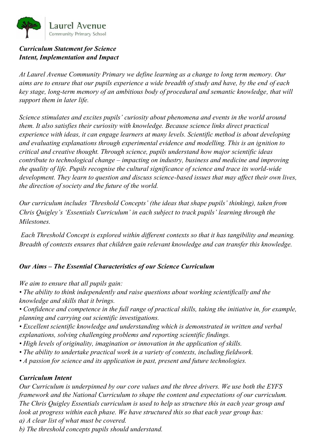

#### *Curriculum Statement for Science Intent, Implementation and Impact*

*At Laurel Avenue Community Primary we define learning as a change to long term memory. Our aims are to ensure that our pupils experience a wide breadth of study and have, by the end of each key stage, long-term memory of an ambitious body of procedural and semantic knowledge, that will support them in later life.* 

*Science stimulates and excites pupils' curiosity about phenomena and events in the world around them. It also satisfies their curiosity with knowledge. Because science links direct practical experience with ideas, it can engage learners at many levels. Scientific method is about developing and evaluating explanations through experimental evidence and modelling. This is an ignition to critical and creative thought. Through science, pupils understand how major scientific ideas contribute to technological change – impacting on industry, business and medicine and improving the quality of life. Pupils recognise the cultural significance of science and trace its world-wide development. They learn to question and discuss science-based issues that may affect their own lives, the direction of society and the future of the world.*

*Our curriculum includes 'Threshold Concepts' (the ideas that shape pupils' thinking), taken from Chris Quigley's 'Essentials Curriculum' in each subject to track pupils' learning through the Milestones.* 

*Each Threshold Concept is explored within different contexts so that it has tangibility and meaning. Breadth of contexts ensures that children gain relevant knowledge and can transfer this knowledge.*

### *Our Aims – The Essential Characteristics of our Science Curriculum*

*We aim to ensure that all pupils gain:*

*• The ability to think independently and raise questions about working scientifically and the knowledge and skills that it brings.*

*• Confidence and competence in the full range of practical skills, taking the initiative in, for example, planning and carrying out scientific investigations.*

- *Excellent scientific knowledge and understanding which is demonstrated in written and verbal explanations, solving challenging problems and reporting scientific findings.*
- *High levels of originality, imagination or innovation in the application of skills.*
- *The ability to undertake practical work in a variety of contexts, including fieldwork.*
- *A passion for science and its application in past, present and future technologies.*

### *Curriculum Intent*

*Our Curriculum is underpinned by our core values and the three drivers. We use both the EYFS framework and the National Curriculum to shape the content and expectations of our curriculum. The Chris Quigley Essentials curriculum is used to help us structure this in each year group and look at progress within each phase. We have structured this so that each year group has: a) A clear list of what must be covered.*

*b) The threshold concepts pupils should understand.*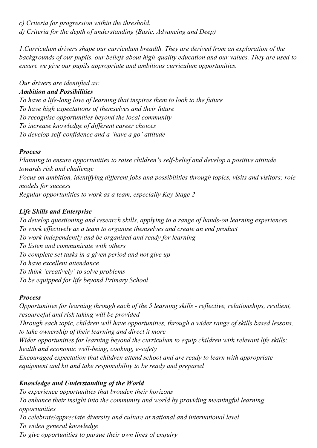*c) Criteria for progression within the threshold. d) Criteria for the depth of understanding (Basic, Advancing and Deep)*

*1.Curriculum drivers shape our curriculum breadth. They are derived from an exploration of the backgrounds of our pupils, our beliefs about high-quality education and our values. They are used to ensure we give our pupils appropriate and ambitious curriculum opportunities.*

*Our drivers are identified as:*

### *Ambition and Possibilities*

*To have a life-long love of learning that inspires them to look to the future To have high expectations of themselves and their future To recognise opportunities beyond the local community To increase knowledge of different career choices To develop self-confidence and a 'have a go' attitude*

### *Process*

*Planning to ensure opportunities to raise children's self-belief and develop a positive attitude towards risk and challenge Focus on ambition, identifying different jobs and possibilities through topics, visits and visitors; role models for success Regular opportunities to work as a team, especially Key Stage 2*

## *Life Skills and Enterprise*

*To develop questioning and research skills, applying to a range of hands-on learning experiences To work effectively as a team to organise themselves and create an end product To work independently and be organised and ready for learning To listen and communicate with others To complete set tasks in a given period and not give up To have excellent attendance To think 'creatively' to solve problems To be equipped for life beyond Primary School*

## *Process*

*Opportunities for learning through each of the 5 learning skills - reflective, relationships, resilient, resourceful and risk taking will be provided Through each topic, children will have opportunities, through a wider range of skills based lessons, to take ownership of their learning and direct it more Wider opportunities for learning beyond the curriculum to equip children with relevant life skills; health and economic well-being, cooking, e-safety Encouraged expectation that children attend school and are ready to learn with appropriate equipment and kit and take responsibility to be ready and prepared*

# *Knowledge and Understanding of the World*

*To experience opportunities that broaden their horizons To enhance their insight into the community and world by providing meaningful learning opportunities To celebrate/appreciate diversity and culture at national and international level To widen general knowledge To give opportunities to pursue their own lines of enquiry*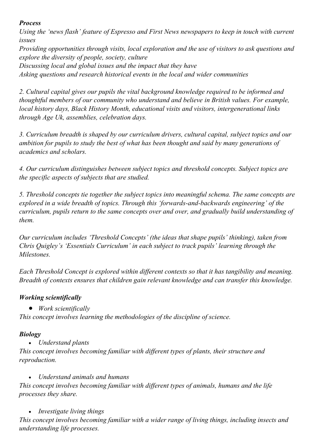### *Process*

*Using the 'news flash' feature of Espresso and First News newspapers to keep in touch with current issues*

*Providing opportunities through visits, local exploration and the use of visitors to ask questions and explore the diversity of people, society, culture Discussing local and global issues and the impact that they have Asking questions and research historical events in the local and wider communities*

*2. Cultural capital gives our pupils the vital background knowledge required to be informed and thoughtful members of our community who understand and believe in British values. For example, local history days, Black History Month, educational visits and visitors, intergenerational links through Age Uk, assemblies, celebration days.*

*3. Curriculum breadth is shaped by our curriculum drivers, cultural capital, subject topics and our ambition for pupils to study the best of what has been thought and said by many generations of academics and scholars.*

*4. Our curriculum distinguishes between subject topics and threshold concepts. Subject topics are the specific aspects of subjects that are studied.*

*5. Threshold concepts tie together the subject topics into meaningful schema. The same concepts are explored in a wide breadth of topics. Through this 'forwards-and-backwards engineering' of the curriculum, pupils return to the same concepts over and over, and gradually build understanding of them.*

*Our curriculum includes 'Threshold Concepts' (the ideas that shape pupils' thinking), taken from Chris Quigley's 'Essentials Curriculum' in each subject to track pupils' learning through the Milestones.* 

*Each Threshold Concept is explored within different contexts so that it has tangibility and meaning. Breadth of contexts ensures that children gain relevant knowledge and can transfer this knowledge.*

## *Working scientifically*

• *Work scientifically*

*This concept involves learning the methodologies of the discipline of science.*

## *Biology*

• *Understand plants*

*This concept involves becoming familiar with different types of plants, their structure and reproduction.*

• *Understand animals and humans This concept involves becoming familiar with different types of animals, humans and the life processes they share.*

• *Investigate living things This concept involves becoming familiar with a wider range of living things, including insects and understanding life processes.*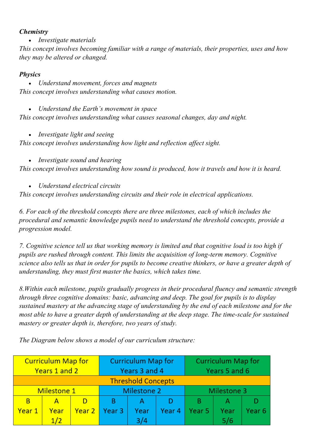#### *Chemistry*

• *Investigate materials*

*This concept involves becoming familiar with a range of materials, their properties, uses and how they may be altered or changed.*

#### *Physics*

• *Understand movement, forces and magnets This concept involves understanding what causes motion.*

• *Understand the Earth's movement in space This concept involves understanding what causes seasonal changes, day and night.*

• *Investigate light and seeing*

*This concept involves understanding how light and reflection affect sight.*

• *Investigate sound and hearing*

*This concept involves understanding how sound is produced, how it travels and how it is heard.*

• *Understand electrical circuits*

*This concept involves understanding circuits and their role in electrical applications.*

*6. For each of the threshold concepts there are three milestones, each of which includes the procedural and semantic knowledge pupils need to understand the threshold concepts, provide a progression model.*

*7. Cognitive science tell us that working memory is limited and that cognitive load is too high if pupils are rushed through content. This limits the acquisition of long-term memory. Cognitive science also tells us that in order for pupils to become creative thinkers, or have a greater depth of understanding, they must first master the basics, which takes time.*

*8.Within each milestone, pupils gradually progress in their procedural fluency and semantic strength through three cognitive domains: basic, advancing and deep. The goal for pupils is to display sustained mastery at the advancing stage of understanding by the end of each milestone and for the most able to have a greater depth of understanding at the deep stage. The time-scale for sustained mastery or greater depth is, therefore, two years of study.*

**Curriculum Map for Curriculum Map for Curriculum Map for** Years 1 and 2 Years 5 and 6 Years 3 and 4 **Threshold Concepts Milestone 2** Milestone 3 **Milestone 1** B  $\overline{A}$ D B  $\mathsf{A}$ D B A D Year 1 Year Year<sub>2</sub> Year<sub>3</sub> Year Year 4 Year<sub>5</sub> Year Year<sub>6</sub>  $1/2$  $3/4$  $5/6$ 

*The Diagram below shows a model of our curriculum structure:*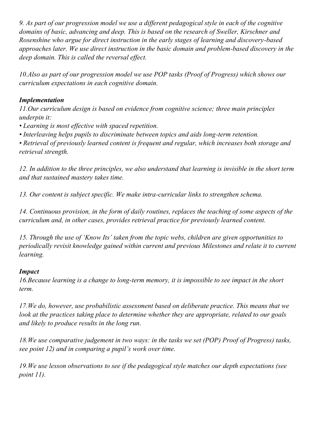*9. As part of our progression model we use a different pedagogical style in each of the cognitive domains of basic, advancing and deep. This is based on the research of Sweller, Kirschner and Rosenshine who argue for direct instruction in the early stages of learning and discovery-based approaches later. We use direct instruction in the basic domain and problem-based discovery in the deep domain. This is called the reversal effect.*

*10.Also as part of our progression model we use POP tasks (Proof of Progress) which shows our curriculum expectations in each cognitive domain.*

#### *Implementation*

*11.Our curriculum design is based on evidence from cognitive science; three main principles underpin it:*

*• Learning is most effective with spaced repetition.*

*• Interleaving helps pupils to discriminate between topics and aids long-term retention.*

*• Retrieval of previously learned content is frequent and regular, which increases both storage and retrieval strength.*

*12. In addition to the three principles, we also understand that learning is invisible in the short term and that sustained mastery takes time.*

*13. Our content is subject specific. We make intra-curricular links to strengthen schema.*

*14. Continuous provision, in the form of daily routines, replaces the teaching of some aspects of the curriculum and, in other cases, provides retrieval practice for previously learned content.*

*15. Through the use of 'Know Its' taken from the topic webs, children are given opportunities to periodically revisit knowledge gained within current and previous Milestones and relate it to current learning.*

#### *Impact*

*16.Because learning is a change to long-term memory, it is impossible to see impact in the short term.*

*17.We do, however, use probabilistic assessment based on deliberate practice. This means that we look at the practices taking place to determine whether they are appropriate, related to our goals and likely to produce results in the long run.*

*18.We use comparative judgement in two ways: in the tasks we set (POP) Proof of Progress) tasks, see point 12) and in comparing a pupil's work over time.*

*19.We use lesson observations to see if the pedagogical style matches our depth expectations (see point 11).*